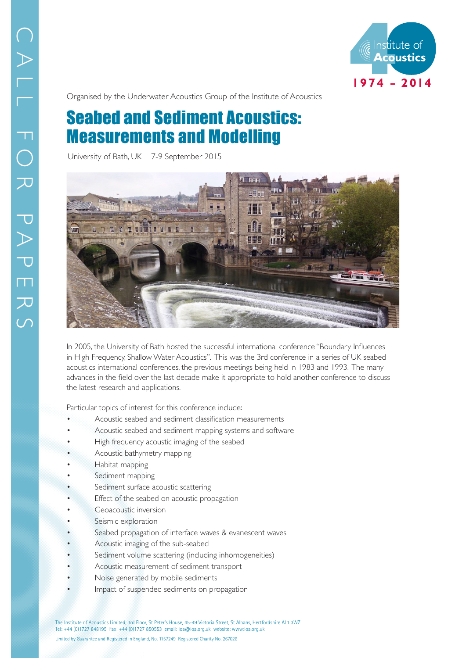

Organised by the Underwater Acoustics Group of the Institute of Acoustics

## Seabed and Sediment Acoustics: Measurements and Modelling

University of Bath, UK 7-9 September 2015



In 2005, the University of Bath hosted the successful international conference "Boundary Influences in High Frequency, Shallow Water Acoustics". This was the 3rd conference in a series of UK seabed acoustics international conferences, the previous meetings being held in 1983 and 1993. The many advances in the field over the last decade make it appropriate to hold another conference to discuss the latest research and applications.

Particular topics of interest for this conference include:

- Acoustic seabed and sediment classification measurements
- Acoustic seabed and sediment mapping systems and software
- High frequency acoustic imaging of the seabed
- Acoustic bathymetry mapping
- Habitat mapping
- Sediment mapping
- Sediment surface acoustic scattering
- Effect of the seabed on acoustic propagation
- Geoacoustic inversion
- Seismic exploration
- Seabed propagation of interface waves & evanescent waves
- Acoustic imaging of the sub-seabed
- Sediment volume scattering (including inhomogeneities)
- Acoustic measurement of sediment transport
- Noise generated by mobile sediments
- Impact of suspended sediments on propagation

The Institute of Acoustics Limited, 3rd Floor, St Peter's House, 45-49 Victoria Street, St Albans, Hertfordshire AL1 3WZ Tel: +44 (0)1727 848195 Fax: +44 (0)1727 850553 email: ioa@ioa.org.uk website: www:ioa.org.uk Limited by Guarantee and Registered in England, No. 1157249 Registered Charity No. 267026